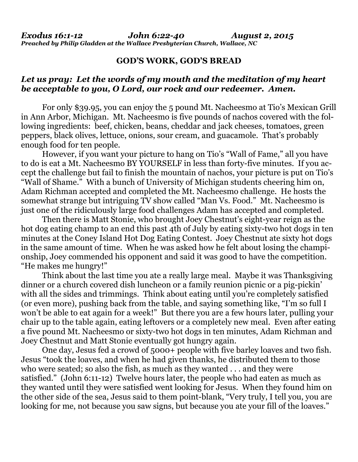## **GOD'S WORK, GOD'S BREAD**

## *Let us pray: Let the words of my mouth and the meditation of my heart be acceptable to you, O Lord, our rock and our redeemer. Amen.*

 For only \$39.95, you can enjoy the 5 pound Mt. Nacheesmo at Tio's Mexican Grill in Ann Arbor, Michigan. Mt. Nacheesmo is five pounds of nachos covered with the following ingredients: beef, chicken, beans, cheddar and jack cheeses, tomatoes, green peppers, black olives, lettuce, onions, sour cream, and guacamole. That's probably enough food for ten people.

 However, if you want your picture to hang on Tio's "Wall of Fame," all you have to do is eat a Mt. Nacheesmo BY YOURSELF in less than forty-five minutes. If you accept the challenge but fail to finish the mountain of nachos, your picture is put on Tio's "Wall of Shame." With a bunch of University of Michigan students cheering him on, Adam Richman accepted and completed the Mt. Nacheesmo challenge. He hosts the somewhat strange but intriguing TV show called "Man Vs. Food." Mt. Nacheesmo is just one of the ridiculously large food challenges Adam has accepted and completed.

 Then there is Matt Stonie, who brought Joey Chestnut's eight-year reign as the hot dog eating champ to an end this past 4th of July by eating sixty-two hot dogs in ten minutes at the Coney Island Hot Dog Eating Contest. Joey Chestnut ate sixty hot dogs in the same amount of time. When he was asked how he felt about losing the championship, Joey commended his opponent and said it was good to have the competition. "He makes me hungry!"

 Think about the last time you ate a really large meal. Maybe it was Thanksgiving dinner or a church covered dish luncheon or a family reunion picnic or a pig-pickin' with all the sides and trimmings. Think about eating until you're completely satisfied (or even more), pushing back from the table, and saying something like, "I'm so full I won't be able to eat again for a week!" But there you are a few hours later, pulling your chair up to the table again, eating leftovers or a completely new meal. Even after eating a five pound Mt. Nacheesmo or sixty-two hot dogs in ten minutes, Adam Richman and Joey Chestnut and Matt Stonie eventually got hungry again.

 One day, Jesus fed a crowd of 5000+ people with five barley loaves and two fish. Jesus "took the loaves, and when he had given thanks, he distributed them to those who were seated; so also the fish, as much as they wanted . . . and they were satisfied." (John 6:11-12) Twelve hours later, the people who had eaten as much as they wanted until they were satisfied went looking for Jesus. When they found him on the other side of the sea, Jesus said to them point-blank, "Very truly, I tell you, you are looking for me, not because you saw signs, but because you ate your fill of the loaves."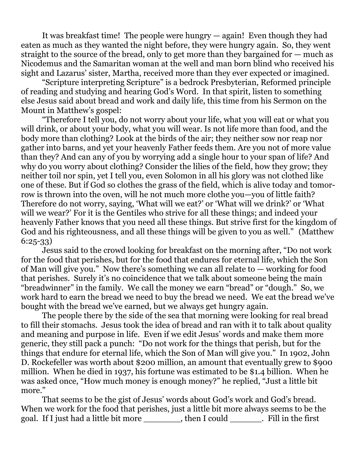It was breakfast time! The people were hungry — again! Even though they had eaten as much as they wanted the night before, they were hungry again. So, they went straight to the source of the bread, only to get more than they bargained for — much as Nicodemus and the Samaritan woman at the well and man born blind who received his sight and Lazarus' sister, Martha, received more than they ever expected or imagined.

 "Scripture interpreting Scripture" is a bedrock Presbyterian, Reformed principle of reading and studying and hearing God's Word. In that spirit, listen to something else Jesus said about bread and work and daily life, this time from his Sermon on the Mount in Matthew's gospel:

 "Therefore I tell you, do not worry about your life, what you will eat or what you will drink, or about your body, what you will wear. Is not life more than food, and the body more than clothing? Look at the birds of the air; they neither sow nor reap nor gather into barns, and yet your heavenly Father feeds them. Are you not of more value than they? And can any of you by worrying add a single hour to your span of life? And why do you worry about clothing? Consider the lilies of the field, how they grow; they neither toil nor spin, yet I tell you, even Solomon in all his glory was not clothed like one of these. But if God so clothes the grass of the field, which is alive today and tomorrow is thrown into the oven, will he not much more clothe you—you of little faith? Therefore do not worry, saying, 'What will we eat?' or 'What will we drink?' or 'What will we wear?' For it is the Gentiles who strive for all these things; and indeed your heavenly Father knows that you need all these things. But strive first for the kingdom of God and his righteousness, and all these things will be given to you as well." (Matthew 6:25-33)

 Jesus said to the crowd looking for breakfast on the morning after, "Do not work for the food that perishes, but for the food that endures for eternal life, which the Son of Man will give you." Now there's something we can all relate to — working for food that perishes. Surely it's no coincidence that we talk about someone being the main "breadwinner" in the family. We call the money we earn "bread" or "dough." So, we work hard to earn the bread we need to buy the bread we need. We eat the bread we've bought with the bread we've earned, but we always get hungry again.

 The people there by the side of the sea that morning were looking for real bread to fill their stomachs. Jesus took the idea of bread and ran with it to talk about quality and meaning and purpose in life. Even if we edit Jesus' words and make them more generic, they still pack a punch: "Do not work for the things that perish, but for the things that endure for eternal life, which the Son of Man will give you." In 1902, John D. Rockefeller was worth about \$200 million, an amount that eventually grew to \$900 million. When he died in 1937, his fortune was estimated to be \$1.4 billion. When he was asked once, "How much money is enough money?" he replied, "Just a little bit more."

 That seems to be the gist of Jesus' words about God's work and God's bread. When we work for the food that perishes, just a little bit more always seems to be the goal. If I just had a little bit more \_\_\_\_\_\_\_, then I could \_\_\_\_\_\_. Fill in the first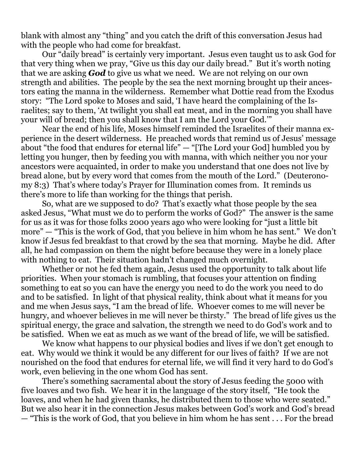blank with almost any "thing" and you catch the drift of this conversation Jesus had with the people who had come for breakfast.

 Our "daily bread" is certainly very important. Jesus even taught us to ask God for that very thing when we pray, "Give us this day our daily bread." But it's worth noting that we are asking *God* to give us what we need. We are not relying on our own strength and abilities. The people by the sea the next morning brought up their ancestors eating the manna in the wilderness. Remember what Dottie read from the Exodus story: "The Lord spoke to Moses and said, 'I have heard the complaining of the Israelites; say to them, 'At twilight you shall eat meat, and in the morning you shall have your will of bread; then you shall know that I am the Lord your God.'"

 Near the end of his life, Moses himself reminded the Israelites of their manna experience in the desert wilderness. He preached words that remind us of Jesus' message about "the food that endures for eternal life" — "[The Lord your God] humbled you by letting you hunger, then by feeding you with manna, with which neither you nor your ancestors were acquainted, in order to make you understand that one does not live by bread alone, but by every word that comes from the mouth of the Lord." (Deuteronomy 8:3) That's where today's Prayer for Illumination comes from. It reminds us there's more to life than working for the things that perish.

 So, what are we supposed to do? That's exactly what those people by the sea asked Jesus, "What must we do to perform the works of God?" The answer is the same for us as it was for those folks 2000 years ago who were looking for "just a little bit more" — "This is the work of God, that you believe in him whom he has sent." We don't know if Jesus fed breakfast to that crowd by the sea that morning. Maybe he did. After all, he had compassion on them the night before because they were in a lonely place with nothing to eat. Their situation hadn't changed much overnight.

 Whether or not he fed them again, Jesus used the opportunity to talk about life priorities. When your stomach is rumbling, that focuses your attention on finding something to eat so you can have the energy you need to do the work you need to do and to be satisfied. In light of that physical reality, think about what it means for you and me when Jesus says, "I am the bread of life. Whoever comes to me will never be hungry, and whoever believes in me will never be thirsty." The bread of life gives us the spiritual energy, the grace and salvation, the strength we need to do God's work and to be satisfied. When we eat as much as we want of the bread of life, we will be satisfied.

 We know what happens to our physical bodies and lives if we don't get enough to eat. Why would we think it would be any different for our lives of faith? If we are not nourished on the food that endures for eternal life, we will find it very hard to do God's work, even believing in the one whom God has sent.

 There's something sacramental about the story of Jesus feeding the 5000 with five loaves and two fish. We hear it in the language of the story itself, "He took the loaves, and when he had given thanks, he distributed them to those who were seated." But we also hear it in the connection Jesus makes between God's work and God's bread

— "This is the work of God, that you believe in him whom he has sent . . . For the bread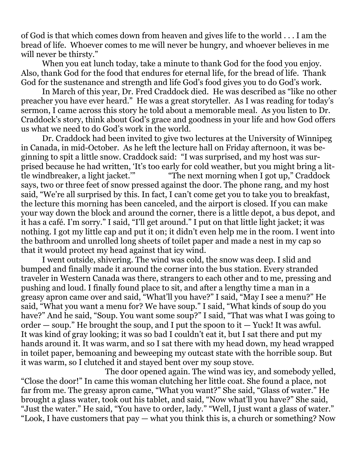of God is that which comes down from heaven and gives life to the world . . . I am the bread of life. Whoever comes to me will never be hungry, and whoever believes in me will never be thirsty."

 When you eat lunch today, take a minute to thank God for the food you enjoy. Also, thank God for the food that endures for eternal life, for the bread of life. Thank God for the sustenance and strength and life God's food gives you to do God's work.

 In March of this year, Dr. Fred Craddock died. He was described as "like no other preacher you have ever heard." He was a great storyteller. As I was reading for today's sermon, I came across this story he told about a memorable meal. As you listen to Dr. Craddock's story, think about God's grace and goodness in your life and how God offers us what we need to do God's work in the world.

 Dr. Craddock had been invited to give two lectures at the University of Winnipeg in Canada, in mid-October. As he left the lecture hall on Friday afternoon, it was beginning to spit a little snow. Craddock said: "I was surprised, and my host was surprised because he had written, 'It's too early for cold weather, but you might bring a little windbreaker, a light jacket.'" "The next morning when I got up," Craddock says, two or three feet of snow pressed against the door. The phone rang, and my host said, "We're all surprised by this. In fact, I can't come get you to take you to breakfast, the lecture this morning has been canceled, and the airport is closed. If you can make your way down the block and around the corner, there is a little depot, a bus depot, and it has a café. I'm sorry." I said, "I'll get around." I put on that little light jacket; it was nothing. I got my little cap and put it on; it didn't even help me in the room. I went into the bathroom and unrolled long sheets of toilet paper and made a nest in my cap so that it would protect my head against that icy wind.

 I went outside, shivering. The wind was cold, the snow was deep. I slid and bumped and finally made it around the corner into the bus station. Every stranded traveler in Western Canada was there, strangers to each other and to me, pressing and pushing and loud. I finally found place to sit, and after a lengthy time a man in a greasy apron came over and said, "What'll you have?" I said, "May I see a menu?" He said, "What you want a menu for? We have soup." I said, "What kinds of soup do you have?" And he said, "Soup. You want some soup?" I said, "That was what I was going to order  $-$  soup." He brought the soup, and I put the spoon to it  $-$  Yuck! It was awful. It was kind of gray looking; it was so bad I couldn't eat it, but I sat there and put my hands around it. It was warm, and so I sat there with my head down, my head wrapped in toilet paper, bemoaning and beweeping my outcast state with the horrible soup. But it was warm, so I clutched it and stayed bent over my soup stove.

 The door opened again. The wind was icy, and somebody yelled, "Close the door!" In came this woman clutching her little coat. She found a place, not far from me. The greasy apron came, "What you want?" She said, "Glass of water." He brought a glass water, took out his tablet, and said, "Now what'll you have?" She said, "Just the water." He said, "You have to order, lady." "Well, I just want a glass of water." "Look, I have customers that pay — what you think this is, a church or something? Now